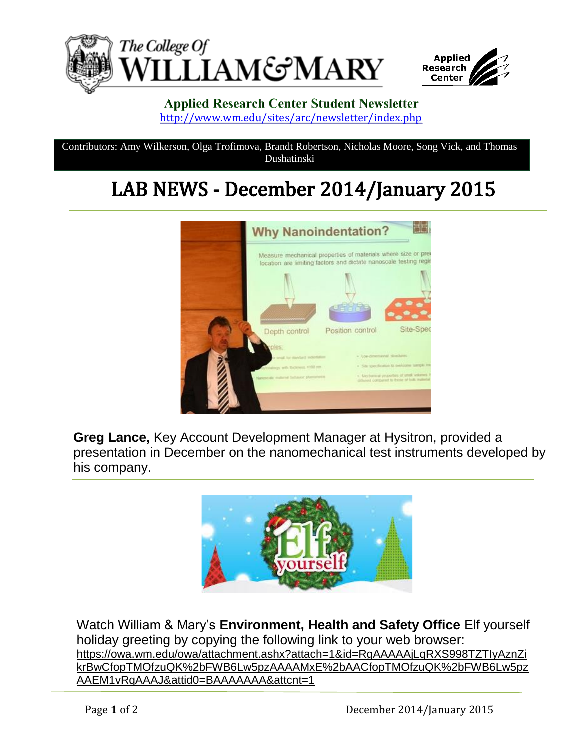



## **Applied Research Center Student Newsletter** <http://www.wm.edu/sites/arc/newsletter/index.php>

Contributors: Amy Wilkerson, Olga Trofimova, Brandt Robertson, Nicholas Moore, Song Vick, and Thomas Dushatinski

## LAB NEWS - December 2014/January 2015



**Greg Lance,** Key Account Development Manager at Hysitron, provided a presentation in December on the nanomechanical test instruments developed by his company.



Watch William & Mary's **Environment, Health and Safety Office** Elf yourself holiday greeting by copying the following link to your web browser: https://owa.wm.edu/owa/attachment.ashx?attach=1&id=RgAAAAAjLqRXS998TZTIyAznZi krBwCfopTMOfzuQK%2bFWB6Lw5pzAAAAMxE%2bAACfopTMOfzuQK%2bFWB6Lw5pz AAEM1vRqAAAJ&attid0=BAAAAAAA&attcnt=1